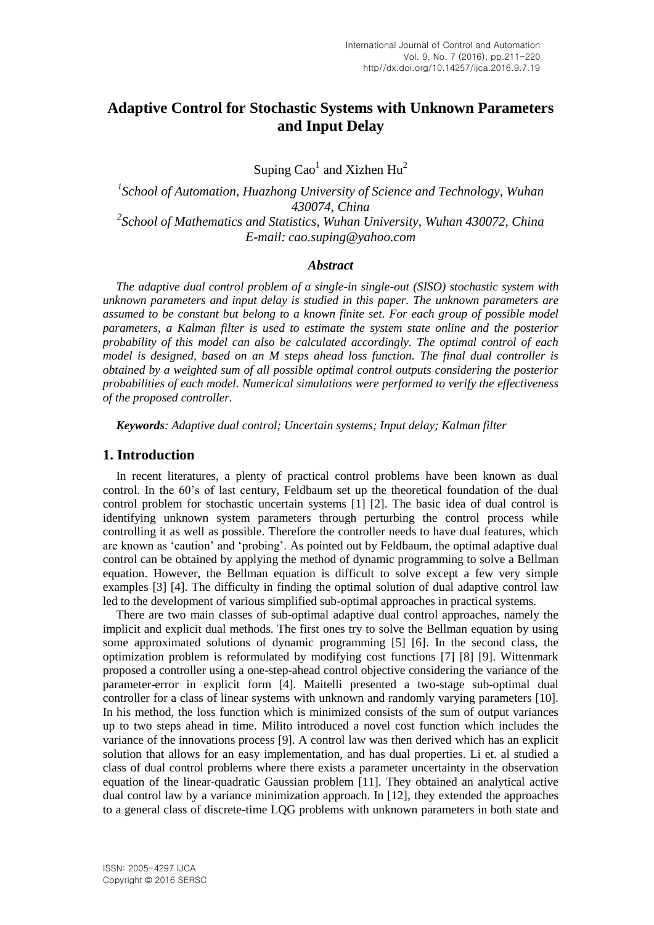# **Adaptive Control for Stochastic Systems with Unknown Parameters and Input Delay**

Suping  $Cao<sup>1</sup>$  and Xizhen Hu<sup>2</sup>

<sup>1</sup> School of Automation, Huazhong University of Science and Technology, Wuhan *430074, China 2 School of Mathematics and Statistics, Wuhan University, Wuhan 430072, China E-mail: cao.suping@yahoo.com*

#### *Abstract*

*The adaptive dual control problem of a single-in single-out (SISO) stochastic system with unknown parameters and input delay is studied in this paper. The unknown parameters are assumed to be constant but belong to a known finite set. For each group of possible model parameters, a Kalman filter is used to estimate the system state online and the posterior probability of this model can also be calculated accordingly. The optimal control of each model is designed, based on an M steps ahead loss function. The final dual controller is obtained by a weighted sum of all possible optimal control outputs considering the posterior probabilities of each model. Numerical simulations were performed to verify the effectiveness of the proposed controller.*

*Keywords: Adaptive dual control; Uncertain systems; Input delay; Kalman filter*

#### **1. Introduction**

In recent literatures, a plenty of practical control problems have been known as dual control. In the 60's of last century, Feldbaum set up the theoretical foundation of the dual control problem for stochastic uncertain systems [1] [2]. The basic idea of dual control is identifying unknown system parameters through perturbing the control process while controlling it as well as possible. Therefore the controller needs to have dual features, which are known as "caution" and "probing". As pointed out by Feldbaum, the optimal adaptive dual control can be obtained by applying the method of dynamic programming to solve a Bellman equation. However, the Bellman equation is difficult to solve except a few very simple examples [3] [4]. The difficulty in finding the optimal solution of dual adaptive control law led to the development of various simplified sub-optimal approaches in practical systems.

There are two main classes of sub-optimal adaptive dual control approaches, namely the implicit and explicit dual methods. The first ones try to solve the Bellman equation by using some approximated solutions of dynamic programming [5] [6]. In the second class, the optimization problem is reformulated by modifying cost functions [7] [8] [9]. Wittenmark proposed a controller using a one-step-ahead control objective considering the variance of the parameter-error in explicit form [4]. Maitelli presented a two-stage sub-optimal dual controller for a class of linear systems with unknown and randomly varying parameters [10]. In his method, the loss function which is minimized consists of the sum of output variances up to two steps ahead in time. Milito introduced a novel cost function which includes the variance of the innovations process [9]. A control law was then derived which has an explicit solution that allows for an easy implementation, and has dual properties. Li et. al studied a class of dual control problems where there exists a parameter uncertainty in the observation equation of the linear-quadratic Gaussian problem [11]. They obtained an analytical active dual control law by a variance minimization approach. In [12], they extended the approaches to a general class of discrete-time LQG problems with unknown parameters in both state and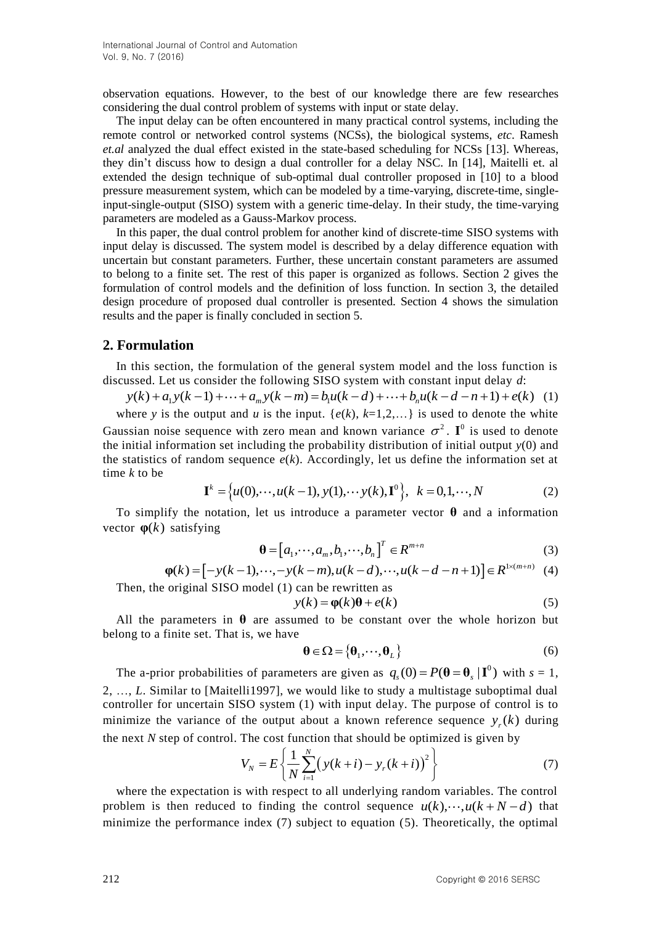observation equations. However, to the best of our knowledge there are few researches considering the dual control problem of systems with input or state delay.

The input delay can be often encountered in many practical control systems, including the remote control or networked control systems (NCSs), the biological systems, *etc*. Ramesh *et.al* analyzed the dual effect existed in the state-based scheduling for NCSs [13]. Whereas, they din"t discuss how to design a dual controller for a delay NSC. In [14], Maitelli et. al extended the design technique of sub-optimal dual controller proposed in [10] to a blood pressure measurement system, which can be modeled by a time-varying, discrete-time, singleinput-single-output (SISO) system with a generic time-delay. In their study, the time-varying parameters are modeled as a Gauss-Markov process.

In this paper, the dual control problem for another kind of discrete-time SISO systems with input delay is discussed. The system model is described by a delay difference equation with uncertain but constant parameters. Further, these uncertain constant parameters are assumed to belong to a finite set. The rest of this paper is organized as follows. Section 2 gives the formulation of control models and the definition of loss function. In section 3, the detailed design procedure of proposed dual controller is presented. Section 4 shows the simulation results and the paper is finally concluded in section 5.

#### **2. Formulation**

In this section, the formulation of the general system model and the loss function is discussed. Let us consider the following SISO system with constant input delay *d*: **rmulation**<br>this section, the formulation of the general system model and the loss function<br>sed. Let us consider the following SISO system with constant input delay d:<br> $(k) + a_1y(k-1) + \cdots + a_my(k-m) = b_1u(k-d) + \cdots + b_nu(k-d-n+1) + e(k)$ **ormulation**<br>this section, the formulation of the general system model and the loss function is<br>ussed. Let us consider the following SISO system with constant input delay d:<br> $y(k) + a_1y(k-1) + \cdots + a_my(k-m) = b_1u(k-d) + \cdots + b_nu(k-d-n+1) +$ 

$$
y(k) + a_1 y(k-1) + \dots + a_m y(k-m) = b_1 u(k-d) + \dots + b_n u(k-d-n+1) + e(k) \tag{1}
$$

where *y* is the output and *u* is the input.  $\{e(k), k=1,2,...\}$  is used to denote the white Gaussian noise sequence with zero mean and known variance  $\sigma^2$ . I<sup>0</sup> is used to denote the initial information set including the probability distribution of initial output *y*(0) and the statistics of random sequence  $e(k)$ . Accordingly, let us define the information set at time k to be<br>  $\mathbf{I}^k = \{u(0), \dots, u(k-1), y(1), \dots y(k), \mathbf{I}^0\}, k = 0, 1, \dots, N$  (2) time *k* to be

$$
\mathbf{I}^{k} = \{u(0), \cdots, u(k-1), y(1), \cdots y(k), \mathbf{I}^{0}\}, \ k = 0, 1, \cdots, N
$$
 (2)

To simplify the notation, let us introduce a parameter vector **θ** and a information **vector**  $\varphi(k)$  satisfying

$$
\mathbf{\theta} = [a_1, \cdots, a_m, b_1, \cdots, b_n]^T \in R^{m+n}
$$
\n(3)

satisfying  
\n
$$
\mathbf{\theta} = [a_1, \cdots, a_m, b_1, \cdots, b_n]^T \in R^{m+n}
$$
\n
$$
\varphi(k) = [-y(k-1), \cdots, -y(k-m), u(k-d), \cdots, u(k-d-n+1)] \in R^{1 \times (m+n)}
$$
\n(3)\nprincipal SISO model (1) can be rewritten as

Then, the original SISO model (1) can be rewritten as

$$
y(k) = \varphi(k)\theta + e(k)
$$
 (5)

All the parameters in  $\theta$  are assumed to be constant over the whole horizon but belong to a finite set. That is, we have

$$
\mathbf{\theta} \in \Omega = \{ \mathbf{\theta}_1, \cdots, \mathbf{\theta}_L \}
$$
 (6)

The a-prior probabilities of parameters are given as  $q_s(0) = P(\theta = \theta_s | \mathbf{I}^0)$  with  $s = 1$ , 2, …, *L*. Similar to [Maitelli1997], we would like to study a multistage suboptimal dual controller for uncertain SISO system (1) with input delay. The purpose of control is to minimize the variance of the output about a known reference sequence  $y_r(k)$  during the next *N* step of control. The cost function that should be optimized is given by<br> $V = F \left\{ \frac{1}{N} \sum_{k=0}^{N} (y(k+i) - y(k+i))^2 \right\}$ 

$$
V_N = E\left\{\frac{1}{N}\sum_{i=1}^N \left(y(k+i) - y_r(k+i)\right)^2\right\}
$$
(7)

where the expectation is with respect to all underlying random variables. The control problem is then reduced to finding the control sequence  $u(k)$ ,  $u(k + N - d)$  that minimize the performance index (7) subject to equation (5). Theoretically, the optimal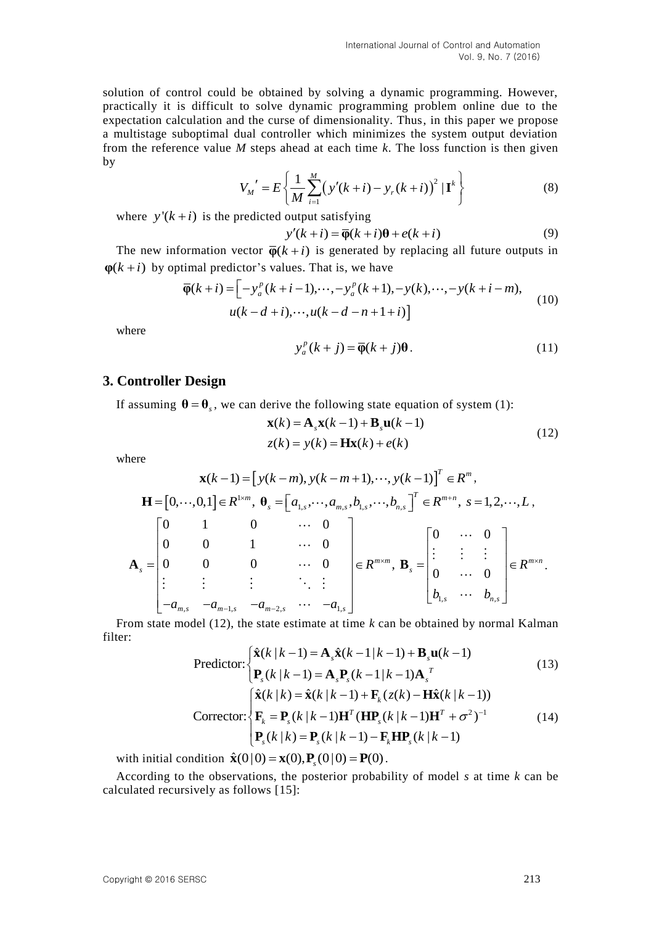solution of control could be obtained by solving a dynamic programming. However, practically it is difficult to solve dynamic programming problem online due to the expectation calculation and the curse of dimensionality. Thus, in this paper we propose a multistage suboptimal dual controller which minimizes the system output deviation from the reference value *M* steps ahead at each time *k*. The loss function is then given by

$$
V_M' = E\left\{\frac{1}{M} \sum_{i=1}^{M} (y'(k+i) - y_r(k+i))^2 | \mathbf{I}^k \right\}
$$
(8)

where  $y'(k+i)$  is the predicted output satisfying

output satisfying  
\n
$$
y'(k+i) = \overline{\phi}(k+i)\theta + e(k+i)
$$
\n(9)

The new information vector  $\overline{\varphi}(k+i)$  is generated by replacing all future outputs in  $(k+i)$  by optimal predictor's values. That is, we have<br> $\overline{\varphi}(k+i) = \left[ -y_a^p(k+i-1), \dots, -y_a^p(k+1), -y(k), \dots, -y(k+i-m) \right]$  (10)  $\varphi(k+i)$  by optimal predictor's values. That is, we have mation vector  $\overline{\varphi}(k+i)$  is gener<br>
mal predictor's values. That is, v<br>  $(k+i) = \left[ -y_a^p(k+i-1), \dots, -y_a^p \right]$ 

$$
\overline{\varphi}(k+i) = \left[ -y_a^p(k+i-1), \cdots, -y_a^p(k+1), -y(k), \cdots, -y(k+i-m), \right. \left. u(k-d+i), \cdots, u(k-d-n+1+i) \right]
$$
\n(10)

where

$$
y_a^p(k+j) = \overline{\phi}(k+j)\theta.
$$
 (11)

#### **3. Controller Design**

If assuming  $\mathbf{\theta} = \mathbf{\theta}_s$ , we can derive the following state equation of system (1):<br> $\mathbf{x}(k) = \mathbf{A}_s \mathbf{x}(k-1) + \mathbf{B}_s \mathbf{u}(k-1)$ 

$$
\mathbf{x}(k) = \mathbf{A}_s \mathbf{x}(k-1) + \mathbf{B}_s \mathbf{u}(k-1)
$$
  
z(k) = y(k) =  $\mathbf{H}\mathbf{x}(k) + e(k)$  (12)

where

here  
\n
$$
\mathbf{x}(k-1) = [y(k-m), y(k-m+1), \cdots, y(k-1)]^T \in \mathbb{R}^m,
$$
\n
$$
\mathbf{H} = [0, \cdots, 0, 1] \in \mathbb{R}^{1 \times m}, \quad \boldsymbol{\theta}_s = [a_{1,s}, \cdots, a_{m,s}, b_{1,s}, \cdots, b_{n,s}]^T \in \mathbb{R}^{m+n}, \quad s = 1, 2, \cdots, L,
$$
\n
$$
\mathbf{A}_s = \begin{bmatrix} 0 & 1 & 0 & \cdots & 0 \\ 0 & 0 & 1 & \cdots & 0 \\ 0 & 0 & 0 & \cdots & 0 \\ \vdots & \vdots & \vdots & \ddots & \vdots \\ -a_{m,s} & -a_{m-1,s} & -a_{m-2,s} & \cdots & -a_{1,s} \end{bmatrix} \in \mathbb{R}^{m \times m}, \quad \mathbf{B}_s = \begin{bmatrix} 0 & \cdots & 0 \\ \vdots & \vdots & \vdots \\ 0 & \cdots & 0 \\ b_{1,s} & \cdots & b_{n,s} \end{bmatrix} \in \mathbb{R}^{m \times n}.
$$
\nom state model (12) the state estimate at time  $k$  can be obtained by normal Kalman.

From state model (12), the state estimate at time *k* can be obtained by normal Kalman ler:<br>  $\hat{\mathbf{x}}(k|k-1) = \mathbf{A}_s \hat{\mathbf{x}}(k-1|k-1) + \mathbf{B}_s \mathbf{u}(k-1)$  (13) filter:

$$
\text{Predictor:} \begin{cases} \hat{\mathbf{x}}(k|k-1) = \mathbf{A}_s \hat{\mathbf{x}}(k-1|k-1) + \mathbf{B}_s \mathbf{u}(k-1) \\ \mathbf{P}_s(k|k-1) = \mathbf{A}_s \mathbf{P}_s(k-1|k-1) \mathbf{A}_s^T \end{cases} \tag{13}
$$
\n
$$
\text{Corrector:} \begin{cases} \hat{\mathbf{x}}(k|k) = \hat{\mathbf{x}}(k|k-1) + \mathbf{F}_k(z(k) - \mathbf{H}\hat{\mathbf{x}}(k|k-1)) \\ \mathbf{F}_k = \mathbf{P}_s(k|k-1)\mathbf{H}^T(\mathbf{H}\mathbf{P}_s(k|k-1)\mathbf{H}^T + \sigma^2)^{-1} \\ \mathbf{P}_s(k|k) = \mathbf{P}_s(k|k-1) - \mathbf{F}_k \mathbf{H}\mathbf{P}_s(k|k-1) \end{cases} \tag{14}
$$

with initial condition  $\hat{\mathbf{x}}(0|0) = \mathbf{x}(0), \mathbf{P}_s(0|0) = \mathbf{P}(0)$ .

According to the observations, the posterior probability of model *s* at time *k* can be calculated recursively as follows [15]: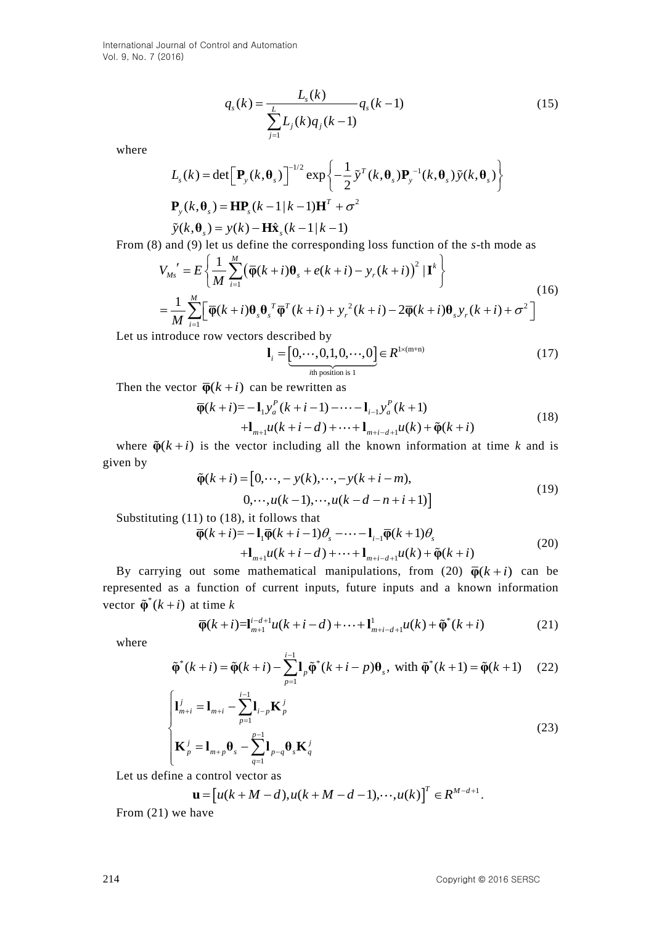$$
q_s(k) = \frac{L_s(k)}{\sum_{j=1}^{L} L_j(k) q_j(k-1)} q_s(k-1)
$$
\n(15)

where

$$
L_s(k) = \det \left[ \mathbf{P}_y(k, \boldsymbol{\theta}_s) \right]^{-1/2} \exp \left\{ -\frac{1}{2} \tilde{\mathbf{y}}^T(k, \boldsymbol{\theta}_s) \mathbf{P}_y^{-1}(k, \boldsymbol{\theta}_s) \tilde{\mathbf{y}}(k, \boldsymbol{\theta}_s) \right\}
$$
  

$$
\mathbf{P}_y(k, \boldsymbol{\theta}_s) = \mathbf{H} \mathbf{P}_s(k-1|k-1) \mathbf{H}^T + \sigma^2
$$
  

$$
\tilde{\mathbf{y}}(k, \boldsymbol{\theta}_s) = \mathbf{y}(k) - \mathbf{H} \hat{\mathbf{x}}_s(k-1|k-1)
$$

From (8) and (9) let us define the corresponding loss function of the *s*-th mode as

$$
\tilde{y}(k, \theta_s) = y(k) - \mathbf{H}\hat{\mathbf{x}}_s(k-1|k-1)
$$
  
\n) and (9) let us define the corresponding loss function of the *s*-th mode as  
\n
$$
V_{Ms}' = E\left\{\frac{1}{M} \sum_{i=1}^{M} (\overline{\phi}(k+i)\theta_s + e(k+i) - y_r(k+i))^2 | \mathbf{I}^k\right\}
$$
\n
$$
= \frac{1}{M} \sum_{i=1}^{M} [\overline{\phi}(k+i)\theta_s \theta_s^T \overline{\phi}^T(k+i) + y_r^2(k+i) - 2\overline{\phi}(k+i)\theta_s y_r(k+i) + \sigma^2]
$$
\n(16)

Let us introduce row vectors described by<br> $\mathbf{l}_i = [0, \dots, 0, 1, 0, \dots, 0]$ 

described by  
\n
$$
\mathbf{l}_i = \underbrace{[0, \cdots, 0, 1, 0, \cdots, 0]}_{\text{ith position is 1}} \in R^{1 \times (m+n)}
$$
\n(17)

Then the vector 
$$
\overline{\varphi}(k+i)
$$
 can be rewritten as  
\n
$$
\overline{\varphi}(k+i) = -\mathbf{1}_1 y_a^P(k+i-1) - \cdots - \mathbf{1}_{i-1} y_a^P(k+1) + \mathbf{1}_{m+i} u(k+i-d) + \cdots + \mathbf{1}_{m+i-d+1} u(k) + \widetilde{\varphi}(k+i)
$$
\n(18)

where  $\tilde{\varphi}(k+i)$  is the vector including all the known information at time *k* and is given by  $(k + i) = [0, \dots, -y(k), \dots, -y(k + i - m)),$  $k + i$ ) =  $[0, \dots, -y(k), \dots, -y(k+i-m)]$ + i) =  $[0, \dots, -y(k), \dots, -y(k+i-m)]$ 

$$
\tilde{\varphi}(k+i) = [0, \cdots, -y(k), \cdots, -y(k+i-m),0, \cdots, u(k-1), \cdots, u(k-d-n+i+1)]
$$
\n(19)

$$
0, \cdots, u(k-1), \cdots, u(k-d-n+i+1)]
$$
  
Substituting (11) to (18), it follows that  

$$
\overline{\varphi}(k+i) = -\mathbf{1}_i \overline{\varphi}(k+i-1)\theta_s - \cdots - \mathbf{1}_{i-1} \overline{\varphi}(k+1)\theta_s
$$

$$
+\mathbf{1}_{m+i} u(k+i-d) + \cdots + \mathbf{1}_{m+i-d+1} u(k) + \widetilde{\varphi}(k+i)
$$
(20)

By carrying out some mathematical manipulations, from (20)  $\overline{\varphi}(k+i)$  can be represented as a function of current inputs, future inputs and a known information vector  $\tilde{\phi}^*(k+i)$  at time  $k$ <br> $\overline{\phi}(k+i)=\mathbf{I}_{m+1}^{i-d+1}u(k+i-d)+\cdots+\mathbf{I}_{m+i-d+1}^{1}u(k)+\tilde{\phi}^*(k+i)$  (21) vector  $\tilde{\varphi}^*(k+i)$  at time k

t time k  
\n
$$
\overline{\varphi}(k+i)=I_{m+1}^{i-d+1}u(k+i-d)+\cdots+I_{m+i-d+1}^{1}u(k)+\tilde{\varphi}^{*}(k+i)
$$
\n(21)

where

$$
\varphi(k+i) = \mathbf{I}_{m+1}^{i} u(k+i-d) + \dots + \mathbf{I}_{m+i-d+1}^{i} u(k) + \varphi(k+i)
$$
(21)  

$$
\tilde{\varphi}^*(k+i) = \tilde{\varphi}(k+i) - \sum_{p=1}^{i-1} \mathbf{I}_p \tilde{\varphi}^*(k+i-p) \theta_s, \text{ with } \tilde{\varphi}^*(k+1) = \tilde{\varphi}(k+1)
$$
(22)

$$
\begin{cases}\n\mathbf{l}_{m+i}^{j} = \mathbf{l}_{m+i} - \sum_{p=1}^{i-1} \mathbf{l}_{i-p} \mathbf{K}_{p}^{j} \\
\mathbf{K}_{p}^{j} = \mathbf{l}_{m+p} \mathbf{\theta}_{s} - \sum_{q=1}^{p-1} \mathbf{l}_{p-q} \mathbf{\theta}_{s} \mathbf{K}_{q}^{j}\n\end{cases}
$$
\n(23)

Let us define a control vector as

control vector as  
\n
$$
\mathbf{u} = [u(k+M-d), u(k+M-d-1), \cdots, u(k)]^T \in \mathbb{R}^{M-d+1}.
$$

From (21) we have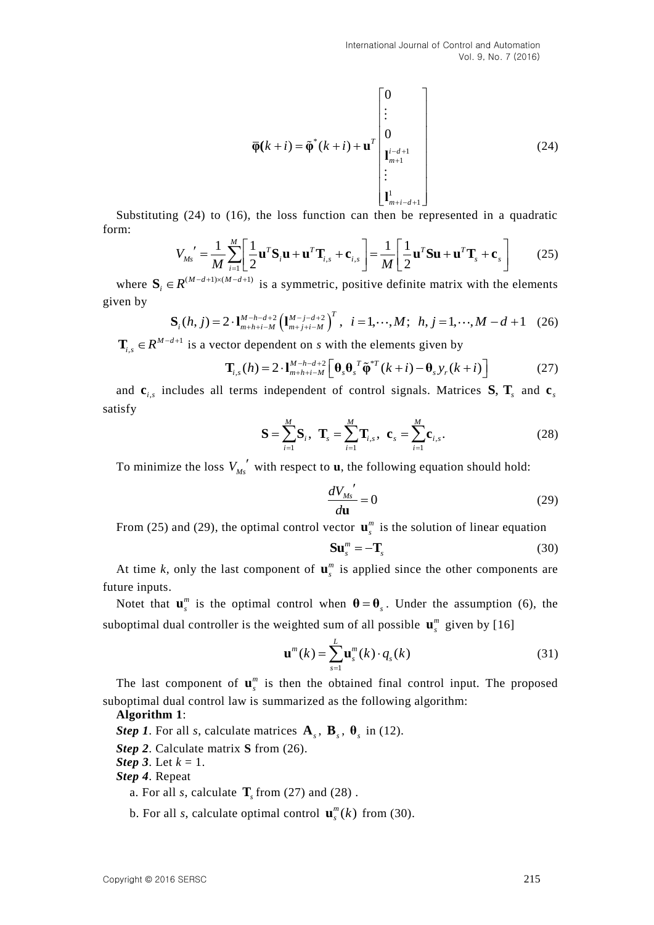$$
\overline{\varphi}(k+i) = \widetilde{\varphi}^*(k+i) + \mathbf{u}^T \begin{bmatrix} 0 \\ \vdots \\ 0 \\ \mathbf{u}_{m+1}^{i-d+1} \\ \vdots \\ \mathbf{u}_{m+i-d+1}^{1} \end{bmatrix}
$$
(24)

form:

Substituting (24) to (16), the loss function can then be represented in a quadratic  
\nm:  
\n
$$
V_{Ms}' = \frac{1}{M} \sum_{i=1}^{M} \left[ \frac{1}{2} \mathbf{u}^T \mathbf{S}_i \mathbf{u} + \mathbf{u}^T \mathbf{T}_{i,s} + \mathbf{c}_{i,s} \right] = \frac{1}{M} \left[ \frac{1}{2} \mathbf{u}^T \mathbf{S} \mathbf{u} + \mathbf{u}^T \mathbf{T}_s + \mathbf{c}_s \right]
$$
(25)

where  $\mathbf{S}_i \in R^{(M-d+1)\times(M-d+1)}$  is a symmetric, positive definite matrix with the elements<br>ven by<br> $\mathbf{S}_i(h, j) = 2 \cdot \mathbf{1}_{m+h+i-M}^{M-h-d+2} \left( \mathbf{1}_{m+j+i-M}^{M-j-d+2} \right)^T$ ,  $i = 1, \dots, M;$   $h, j = 1, \dots, M-d+1$  (26) given by

$$
\mathbf{S}_{i}(h, j) = 2 \cdot \mathbf{1}_{m+h+i-M}^{M-h-d+2} \left( \mathbf{1}_{m+j+i-M}^{M-j-d+2} \right)^{T}, \quad i = 1, \cdots, M; \quad h, j = 1, \cdots, M - d + 1 \quad (26)
$$

,  $M - d + 1$ 

$$
\mathbf{T}_{i,s} \in \mathbb{R}^{M-d+1} \text{ is a vector dependent on } s \text{ with the elements given by}
$$
\n
$$
\mathbf{T}_{i,s}(h) = 2 \cdot \mathbf{I}_{m+h+i-M}^{M-h-d+2} \left[ \mathbf{\theta}_s \mathbf{\theta}_s^T \tilde{\mathbf{\phi}}^* T(k+i) - \mathbf{\theta}_s y_r(k+i) \right]
$$
\n(27)

and  $\mathbf{c}_{i,s}$  includes all terms independent of control signals. Matrices  $\mathbf{S}, \mathbf{T}_s$  and  $\mathbf{c}_s$ satisfy

$$
\mathbf{S} = \sum_{i=1}^{M} \mathbf{S}_i, \quad \mathbf{T}_s = \sum_{i=1}^{M} \mathbf{T}_{i,s}, \quad \mathbf{c}_s = \sum_{i=1}^{M} \mathbf{c}_{i,s}. \tag{28}
$$

To minimize the loss  $V_{Ms}^{\prime}$  with respect to **u**, the following equation should hold:

$$
\frac{dV_{Ms}^{'}}{d\mathbf{u}} = 0\tag{29}
$$

From (25) and (29), the optimal control vector  $\mathbf{u}_s^m$  is the solution of linear equation

$$
\mathbf{S}\mathbf{u}_{s}^{m} = -\mathbf{T}_{s}
$$
 (30)

At time k, only the last component of  $\mathbf{u}_s^m$  is applied since the other components are future inputs.

Notet that  $\mathbf{u}_s^m$  is the optimal control when  $\mathbf{\theta} = \mathbf{\theta}_s$ . Under the assumption (6), the suboptimal dual controller is the weighted sum of all possible  $\mathbf{u}_{s}^{m}$  given by [16]

$$
\mathbf{u}^{m}(k) = \sum_{s=1}^{L} \mathbf{u}_{s}^{m}(k) \cdot q_{s}(k)
$$
 (31)

The last component of  $\mathbf{u}_s^m$  is then the obtained final control input. The proposed suboptimal dual control law is summarized as the following algorithm:

**Algorithm 1**:

*Step 1*. For all *s*, calculate matrices  $\mathbf{A}_s$ ,  $\mathbf{B}_s$ ,  $\mathbf{\theta}_s$  in (12).

*Step 2*. Calculate matrix **S** from (26).

*Step 3*. Let *k* = 1.

*Step 4*. Repeat

- a. For all *s*, calculate  $\mathbf{T}_s$  from (27) and (28).
- b. For all *s*, calculate optimal control  $\mathbf{u}_s^m(k)$  from (30).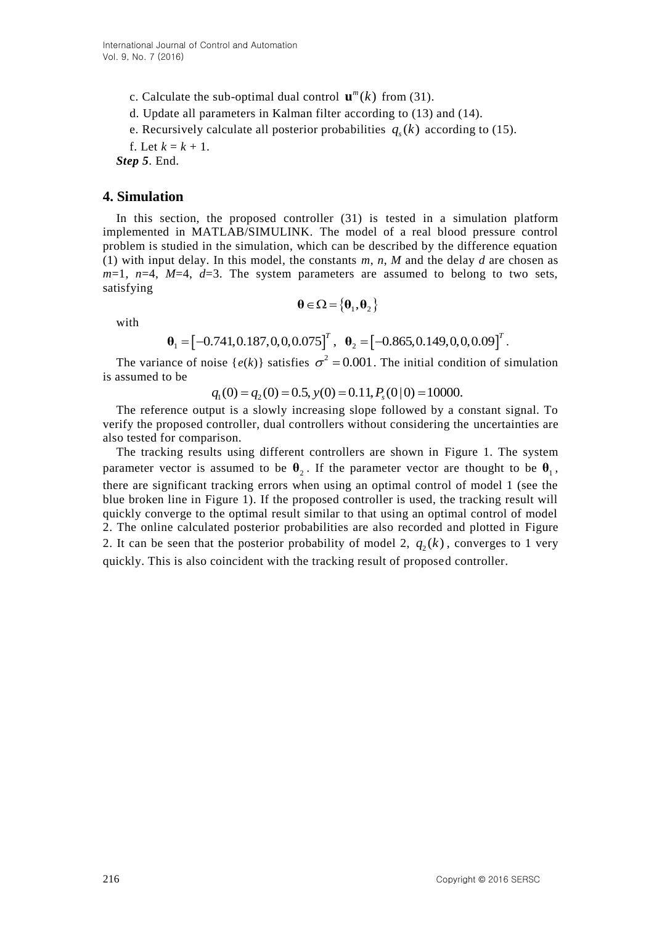c. Calculate the sub-optimal dual control  $\mathbf{u}^m(k)$  from (31).

- d. Update all parameters in Kalman filter according to (13) and (14).
- e. Recursively calculate all posterior probabilities  $q_s(k)$  according to (15).

f. Let  $k = k + 1$ .

*Step 5*. End.

### **4. Simulation**

In this section, the proposed controller (31) is tested in a simulation platform implemented in MATLAB/SIMULINK. The model of a real blood pressure control problem is studied in the simulation, which can be described by the difference equation (1) with input delay. In this model, the constants *m*, *n*, *M* and the delay *d* are chosen as  $m=1$ ,  $n=4$ ,  $M=4$ ,  $d=3$ . The system parameters are assumed to belong to two sets, satisfying

$$
\pmb{\theta}\!\in\!\Omega\!=\!\left\{\pmb{\theta}_1,\pmb{\theta}_2\right\}
$$

with

$$
\mathbf{\theta} \in \Omega = \{\mathbf{\theta}_1, \mathbf{\theta}_2\}
$$

$$
\mathbf{\theta}_1 = [-0.741, 0.187, 0, 0, 0.075]^T, \quad \mathbf{\theta}_2 = [-0.865, 0.149, 0, 0, 0.09]^T.
$$

The variance of noise  $\{e(k)\}\$  satisfies  $\sigma^2 = 0.001$ . The initial condition of simulation is assumed to be bise  $\{e(k)\}\$  satisfies  $\sigma^2 = 0.001$ . The initial cond<br>  $q_1(0) = q_2(0) = 0.5$ ,  $y(0) = 0.11$ ,  $P_s(0|0) = 10000$ .

The reference output is a slowly increasing slope followed by a constant signal. To verify the proposed controller, dual controllers without considering the uncertainties are also tested for comparison.

The tracking results using different controllers are shown in Figure 1. The system parameter vector is assumed to be  $\theta_2$ . If the parameter vector are thought to be  $\theta_1$ , there are significant tracking errors when using an optimal control of model 1 (see the blue broken line in Figure 1). If the proposed controller is used, the tracking result will quickly converge to the optimal result similar to that using an optimal control of model 2. The online calculated posterior probabilities are also recorded and plotted in Figure 2. It can be seen that the posterior probability of model 2,  $q_2(k)$ , converges to 1 very quickly. This is also coincident with the tracking result of proposed controller.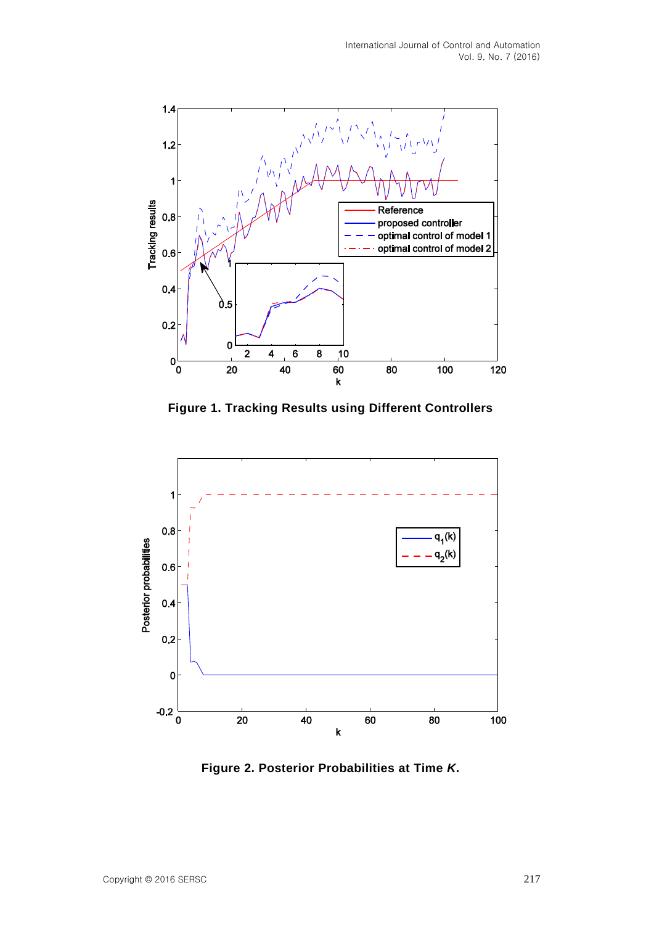

**Figure 1. Tracking Results using Different Controllers**



**Figure 2. Posterior Probabilities at Time** *K***.**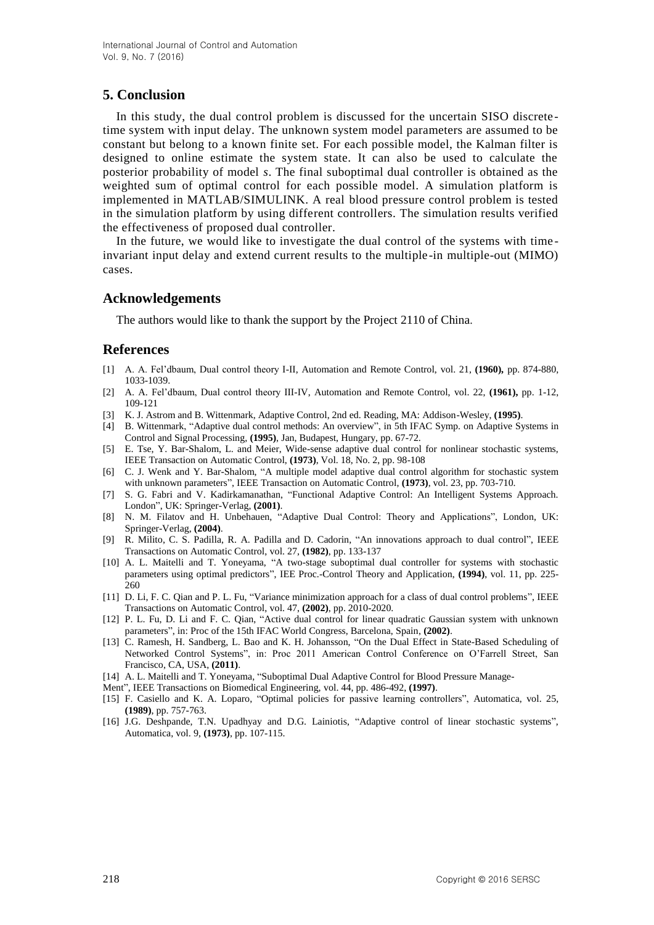## **5. Conclusion**

In this study, the dual control problem is discussed for the uncertain SISO discrete time system with input delay. The unknown system model parameters are assumed to be constant but belong to a known finite set. For each possible model, the Kalman filter is designed to online estimate the system state. It can also be used to calculate the posterior probability of model *s*. The final suboptimal dual controller is obtained as the weighted sum of optimal control for each possible model. A simulation platform is implemented in MATLAB/SIMULINK. A real blood pressure control problem is tested in the simulation platform by using different controllers. The simulation results verified the effectiveness of proposed dual controller.

In the future, we would like to investigate the dual control of the systems with time invariant input delay and extend current results to the multiple-in multiple-out (MIMO) cases.

### **Acknowledgements**

The authors would like to thank the support by the Project 2110 of China.

#### **References**

- [1] A. A. Fel"dbaum, Dual control theory I-II, Automation and Remote Control, vol. 21, **(1960),** pp. 874-880, 1033-1039.
- [2] A. A. Fel"dbaum, Dual control theory III-IV, Automation and Remote Control, vol. 22, **(1961),** pp. 1-12, 109-121
- [3] K. J. Astrom and B. Wittenmark, Adaptive Control, 2nd ed. Reading, MA: Addison-Wesley, **(1995)**.
- [4] B. Wittenmark, "Adaptive dual control methods: An overview", in 5th IFAC Symp. on Adaptive Systems in Control and Signal Processing, **(1995)**, Jan, Budapest, Hungary, pp. 67-72.
- [5] E. Tse, Y. Bar-Shalom, L. and Meier, Wide-sense adaptive dual control for nonlinear stochastic systems, IEEE Transaction on Automatic Control, **(1973)**, Vol. 18, No. 2, pp. 98-108
- [6] C. J. Wenk and Y. Bar-Shalom, "A multiple model adaptive dual control algorithm for stochastic system with unknown parameters", IEEE Transaction on Automatic Control, **(1973)**, vol. 23, pp. 703-710.
- [7] S. G. Fabri and V. Kadirkamanathan, "Functional Adaptive Control: An Intelligent Systems Approach. London", UK: Springer-Verlag, **(2001)**.
- [8] N. M. Filatov and H. Unbehauen, "Adaptive Dual Control: Theory and Applications", London, UK: Springer-Verlag, **(2004)**.
- [9] R. Milito, C. S. Padilla, R. A. Padilla and D. Cadorin, "An innovations approach to dual control", IEEE Transactions on Automatic Control, vol. 27, **(1982)**, pp. 133-137
- [10] A. L. Maitelli and T. Yoneyama, "A two-stage suboptimal dual controller for systems with stochastic parameters using optimal predictors", IEE Proc.-Control Theory and Application, **(1994)**, vol. 11, pp. 225- 260
- [11] D. Li, F. C. Qian and P. L. Fu, "Variance minimization approach for a class of dual control problems", IEEE Transactions on Automatic Control, vol. 47, **(2002)**, pp. 2010-2020.
- [12] P. L. Fu, D. Li and F. C. Qian, "Active dual control for linear quadratic Gaussian system with unknown parameters", in: Proc of the 15th IFAC World Congress, Barcelona, Spain, **(2002)**.
- [13] C. Ramesh, H. Sandberg, L. Bao and K. H. Johansson, "On the Dual Effect in State-Based Scheduling of Networked Control Systems", in: Proc 2011 American Control Conference on O"Farrell Street, San Francisco, CA, USA, **(2011)**.
- [14] A. L. Maitelli and T. Yoneyama, "Suboptimal Dual Adaptive Control for Blood Pressure Manage-
- Ment", IEEE Transactions on Biomedical Engineering, vol. 44, pp. 486-492, **(1997)**.
- [15] F. Casiello and K. A. Loparo, "Optimal policies for passive learning controllers", Automatica, vol. 25, **(1989)**, pp. 757-763.
- [16] J.G. Deshpande, T.N. Upadhyay and D.G. Lainiotis, "Adaptive control of linear stochastic systems", Automatica, vol. 9, **(1973)**, pp. 107-115.